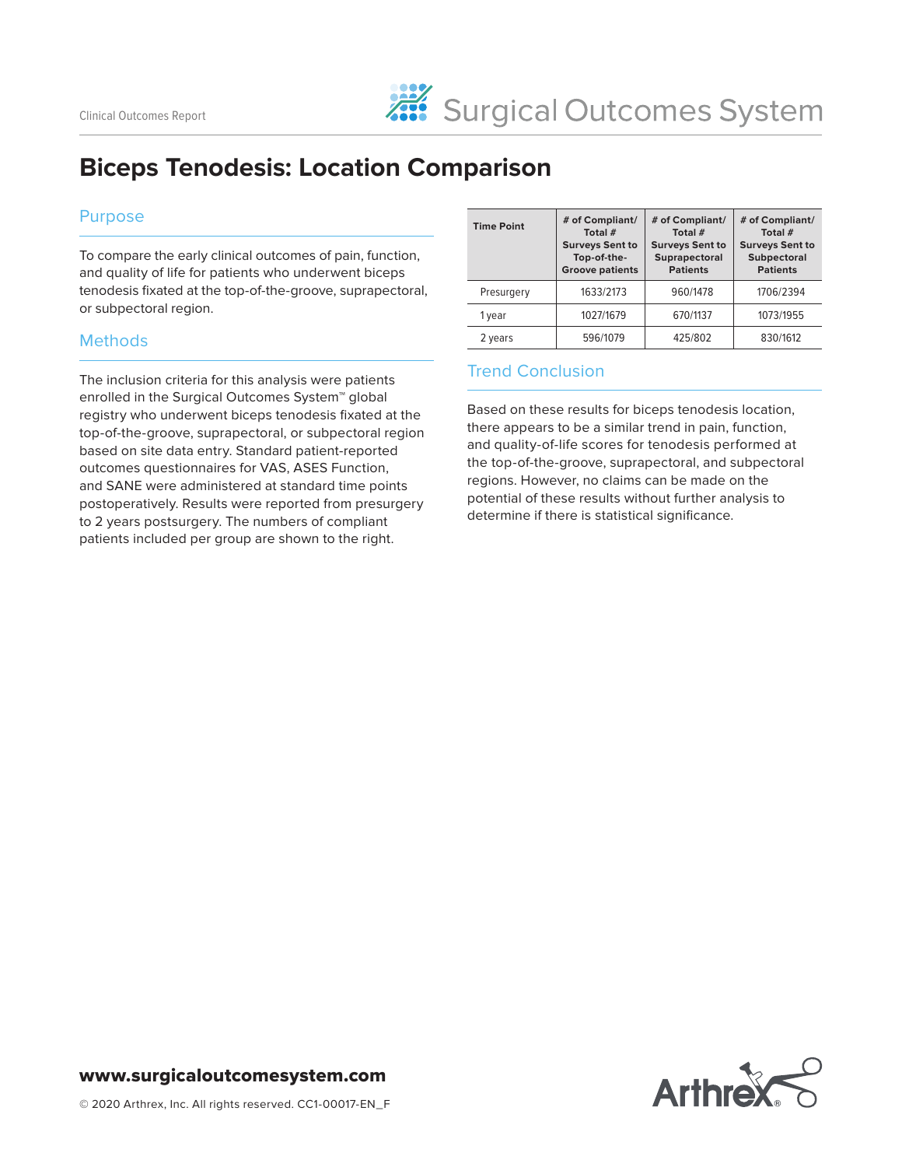# **Biceps Tenodesis: Location Comparison**

#### Purpose

To compare the early clinical outcomes of pain, function, and quality of life for patients who underwent biceps tenodesis fixated at the top-of-the-groove, suprapectoral, or subpectoral region.

## **Methods**

The inclusion criteria for this analysis were patients enrolled in the Surgical Outcomes System™ global registry who underwent biceps tenodesis fixated at the top-of-the-groove, suprapectoral, or subpectoral region based on site data entry. Standard patient-reported outcomes questionnaires for VAS, ASES Function, and SANE were administered at standard time points postoperatively. Results were reported from presurgery to 2 years postsurgery. The numbers of compliant patients included per group are shown to the right.

| <b>Time Point</b> | # of Compliant/<br>Total #<br><b>Surveys Sent to</b><br>Top-of-the-<br><b>Groove patients</b> | # of Compliant/<br>Total #<br><b>Surveys Sent to</b><br>Suprapectoral<br><b>Patients</b> | # of Compliant/<br>Total #<br><b>Surveys Sent to</b><br><b>Subpectoral</b><br><b>Patients</b> |
|-------------------|-----------------------------------------------------------------------------------------------|------------------------------------------------------------------------------------------|-----------------------------------------------------------------------------------------------|
| Presurgery        | 1633/2173                                                                                     | 960/1478                                                                                 | 1706/2394                                                                                     |
| 1 year            | 1027/1679                                                                                     | 670/1137                                                                                 | 1073/1955                                                                                     |
| 2 years           | 596/1079                                                                                      | 425/802                                                                                  | 830/1612                                                                                      |

## Trend Conclusion

Based on these results for biceps tenodesis location, there appears to be a similar trend in pain, function, and quality-of-life scores for tenodesis performed at the top-of-the-groove, suprapectoral, and subpectoral regions. However, no claims can be made on the potential of these results without further analysis to determine if there is statistical significance.



#### www.surgicaloutcomesystem.com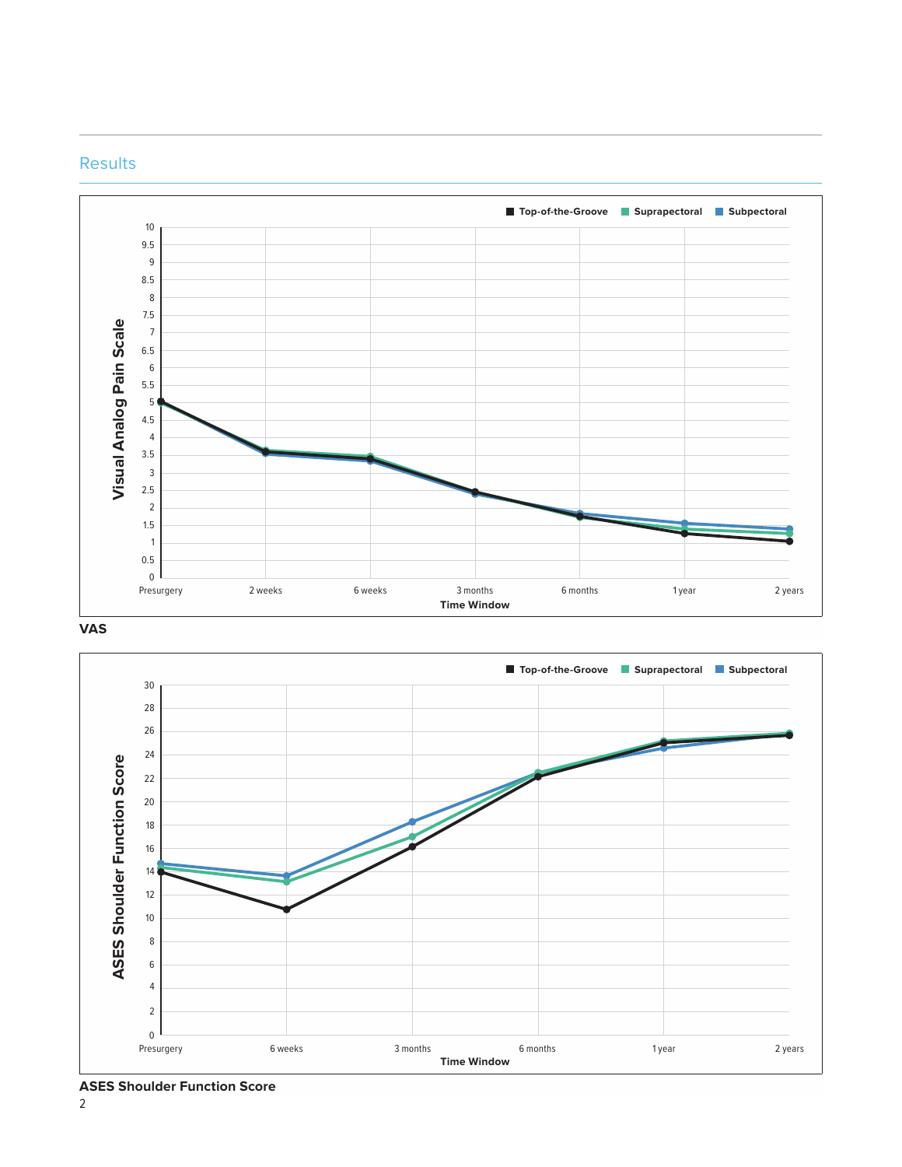

#### **Results**





**ASES Shoulder Function Score**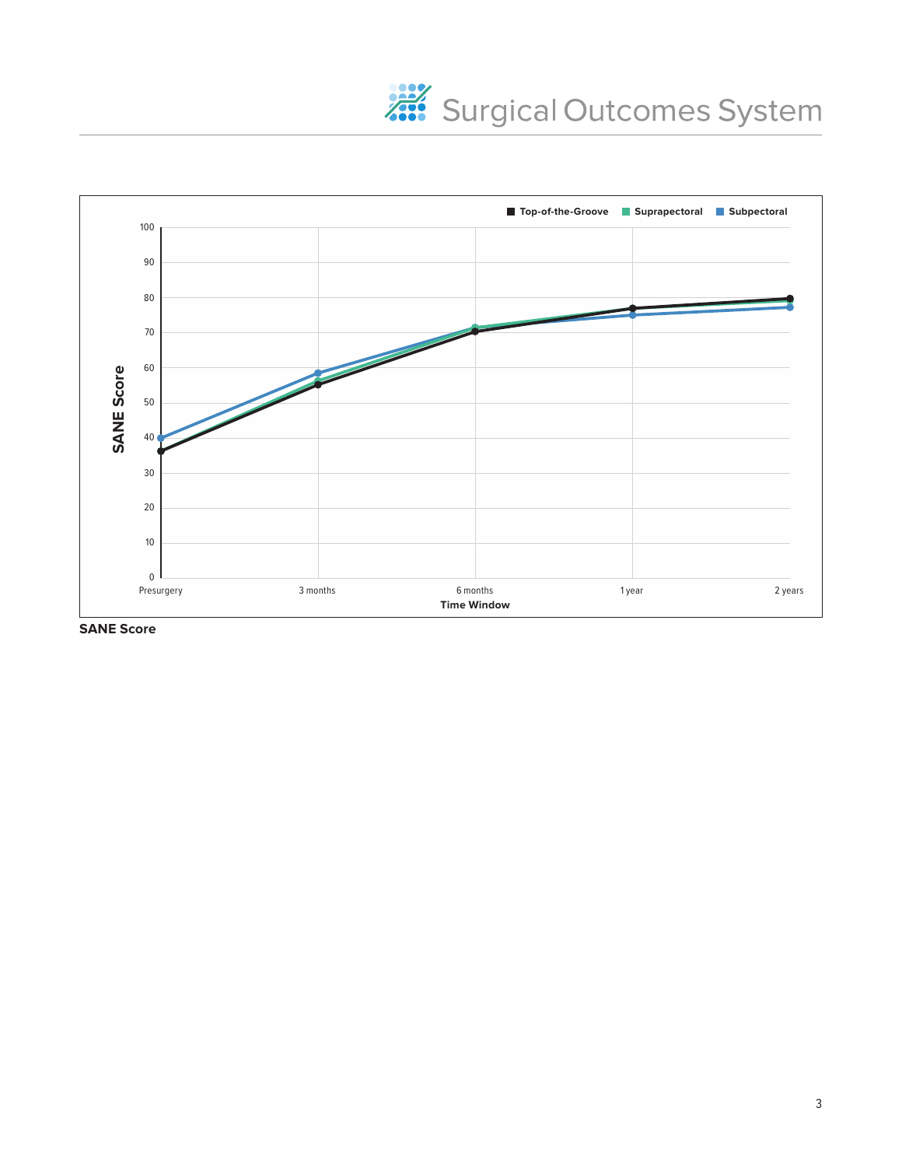



**SANE Score**